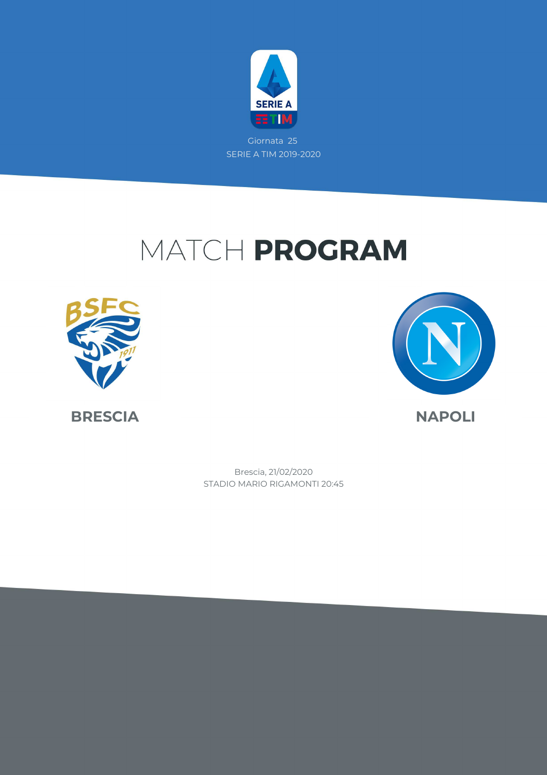

Giornata 25 SERIE A TIM 2019-2020

### MATCH PROGRAM





**BRESCIA NAPOLI**

Brescia, 21/02/2020

STADIO MARIO RIGAMONTI 20:45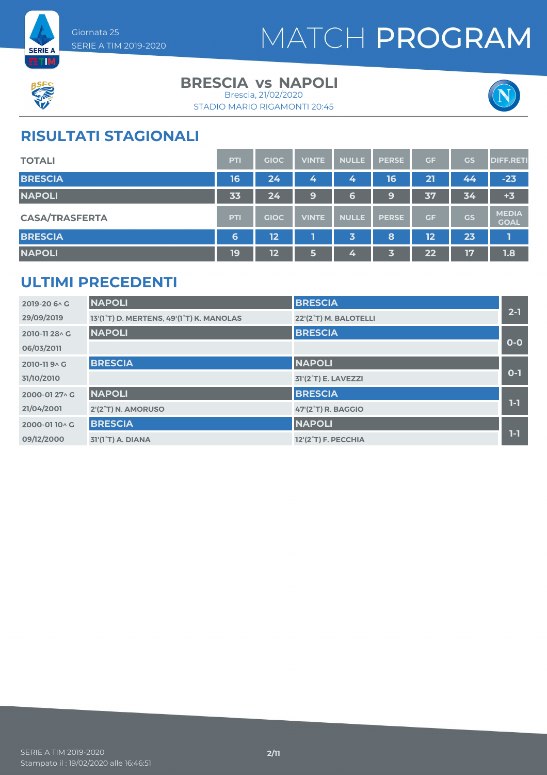



#### **BRESCIA vs NAPOLI**

STADIO MARIO RIGAMONTI 20:45 Brescia, 21/02/2020



### **RISULTATI STAGIONALI**

| <b>TOTALI</b>         | PTI        | <b>GIOC</b>     | <b>VINTE</b> | <b>NULLE</b> | <b>PERSE</b> | <b>GF</b> | <b>GS</b> | <b>DIFF.RETI</b>            |
|-----------------------|------------|-----------------|--------------|--------------|--------------|-----------|-----------|-----------------------------|
| <b>BRESCIA</b>        | 16         | 24              | 4            | 4            | 16           | 21        | 44        | $-23$                       |
| <b>NAPOLI</b>         | 33         | 24 <sup>1</sup> | 9            | 6            | 9            | 37        | 34        | $+3$                        |
| <b>CASA/TRASFERTA</b> | <b>PTI</b> | <b>GIOC</b>     | <b>VINTE</b> | <b>NULLE</b> | <b>PERSE</b> | <b>GF</b> | <b>GS</b> | <b>MEDIA</b><br><b>GOAL</b> |
| <b>BRESCIA</b>        | 6          | $\overline{12}$ |              | 3            | 8            | 12        | 23        | П                           |
| <b>NAPOLI</b>         | 19         | $\overline{12}$ | 5            | 4            | 3            | 22        | 17        | 1.8                         |

### **ULTIMI PRECEDENTI**

| 2019-20 6 \ C  | <b>NAPOLI</b>                            | <b>BRESCIA</b>                   |         |
|----------------|------------------------------------------|----------------------------------|---------|
| 29/09/2019     | 13'(1°T) D. MERTENS, 49'(1°T) K. MANOLAS | 22'(2°T) M. BALOTELLI            | $2 - 1$ |
| 2010-11 28 \ G | <b>NAPOLI</b>                            | <b>BRESCIA</b>                   |         |
| 06/03/2011     |                                          |                                  | $0-0$   |
| 2010-119 ^ G   | <b>BRESCIA</b>                           | <b>NAPOLI</b>                    |         |
| 31/10/2010     |                                          | 31'(2 <sup>°</sup> T) E. LAVEZZI | $0 - 1$ |
| 2000-01 27 \ G | <b>NAPOLI</b>                            | <b>BRESCIA</b>                   |         |
| 21/04/2001     | 2'(2°T) N. AMORUSO                       | <b>47'(2°T) R. BAGGIO</b>        | $1-1$   |
| 2000-0110^G    | <b>BRESCIA</b>                           | <b>NAPOLI</b>                    |         |
| 09/12/2000     | 31'(1 <sup>°</sup> T) A. DIANA           | 12'(2°T) F. PECCHIA              | 1-1     |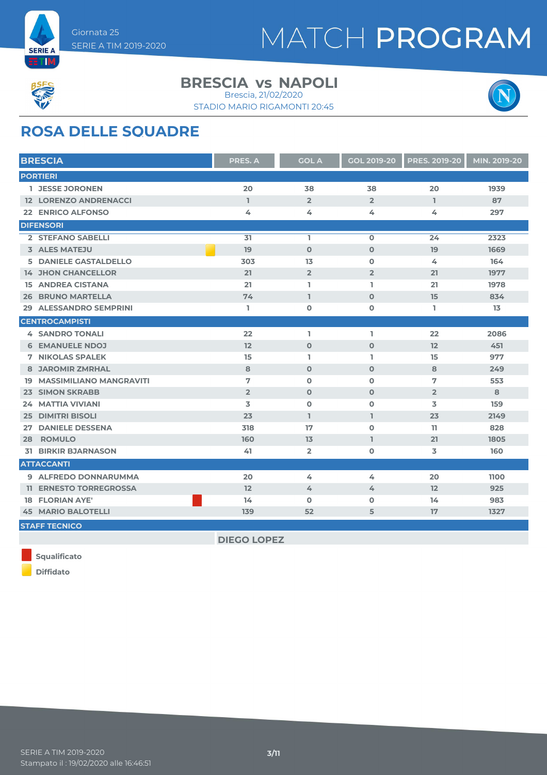



#### **BRESCIA vs NAPOLI**

STADIO MARIO RIGAMONTI 20:45 Brescia, 21/02/2020



### **ROSA DELLE SQUADRE**

| <b>BRESCIA</b>                    | <b>PRES. A</b> | <b>GOL A</b>   | <b>GOL 2019-20</b> | <b>PRES. 2019-20</b> | MIN. 2019-20 |
|-----------------------------------|----------------|----------------|--------------------|----------------------|--------------|
| <b>PORTIERI</b>                   |                |                |                    |                      |              |
| 1 JESSE JORONEN                   | 20             | 38             | 38                 | 20                   | 1939         |
| <b>12 LORENZO ANDRENACCI</b>      | $\mathbf{1}$   | $\overline{2}$ | $\overline{2}$     | $\mathbf{I}$         | 87           |
| <b>22 ENRICO ALFONSO</b>          | 4              | 4              | 4                  | 4                    | 297          |
| <b>DIFENSORI</b>                  |                |                |                    |                      |              |
| 2 STEFANO SABELLI                 | 31             | L.             | $\mathbf 0$        | 24                   | 2323         |
| 3 ALES MATEJU                     | 19             | $\Omega$       | $\Omega$           | 19                   | 1669         |
| 5 DANIELE GASTALDELLO             | 303            | 13             | $\mathbf{o}$       | 4                    | 164          |
| <b>14 JHON CHANCELLOR</b>         | 21             | $\overline{2}$ | $\overline{2}$     | 21                   | 1977         |
| <b>15 ANDREA CISTANA</b>          | 21             | L.             | L.                 | 21                   | 1978         |
| <b>26 BRUNO MARTELLA</b>          | 74             | $\mathbf{I}$   | $\Omega$           | 15                   | 834          |
| <b>29 ALESSANDRO SEMPRINI</b>     | L              | $\mathbf 0$    | 0                  | L.                   | 13           |
| <b>CENTROCAMPISTI</b>             |                |                |                    |                      |              |
| <b>4 SANDRO TONALI</b>            | 22             | L.             | L.                 | 22                   | 2086         |
| <b>6 EMANUELE NDOJ</b>            | 12             | $\mathbf 0$    | $\mathbf 0$        | 12                   | 451          |
| <b>7 NIKOLAS SPALEK</b>           | 15             | L.             | L.                 | 15                   | 977          |
| <b>8 JAROMIR ZMRHAL</b>           | 8              | $\Omega$       | $\Omega$           | 8                    | 249          |
| <b>19 MASSIMILIANO MANGRAVITI</b> | 7              | $\Omega$       | $\mathbf{O}$       | 7                    | 553          |
| <b>23 SIMON SKRABB</b>            | $\overline{2}$ | $\mathbf 0$    | $\mathbf 0$        | $\overline{2}$       | 8            |
| <b>24 MATTIA VIVIANI</b>          | 3              | $\mathbf 0$    | $\mathbf 0$        | 3                    | 159          |
| <b>25 DIMITRI BISOLI</b>          | 23             | L.             | L.                 | 23                   | 2149         |
| <b>DANIELE DESSENA</b><br>27      | 318            | 17             | $\mathbf 0$        | 11.                  | 828          |
| <b>ROMULO</b><br>28               | 160            | 13             | $\mathbb{I}$       | 21                   | 1805         |
| <b>31 BIRKIR BJARNASON</b>        | 41             | $\overline{2}$ | 0                  | 3                    | 160          |
| <b>ATTACCANTI</b>                 |                |                |                    |                      |              |
| 9 ALFREDO DONNARUMMA              | 20             | 4              | 4                  | 20                   | 1100         |
| <b>11 ERNESTO TORREGROSSA</b>     | 12             | 4              | 4                  | 12                   | 925          |
| <b>18 FLORIAN AYE'</b>            | 14             | $\mathbf 0$    | $\mathbf 0$        | 14                   | 983          |
| <b>45 MARIO BALOTELLI</b>         | 139            | 52             | 5                  | 17                   | 1327         |
| <b>STAFF TECNICO</b>              |                |                |                    |                      |              |

**Squalificato**

**DIEGO LOPEZ**



**Diffidato**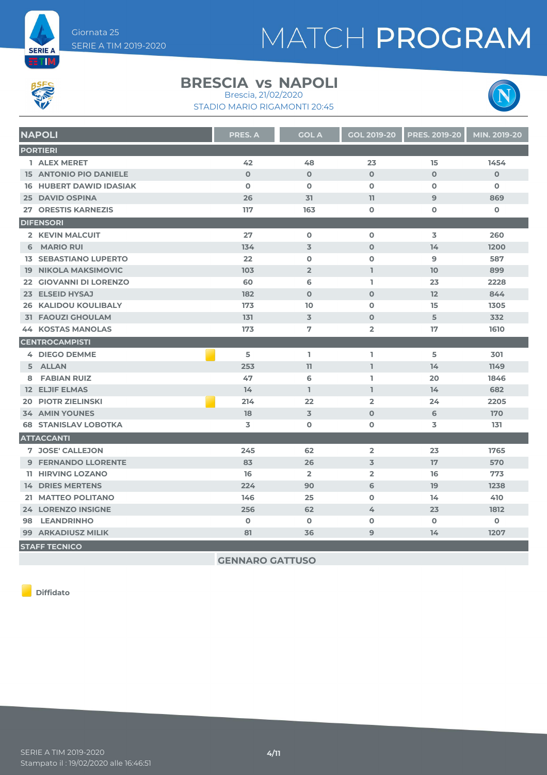



#### **BRESCIA vs NAPOLI** Brescia, 21/02/2020

STADIO MARIO RIGAMONTI 20:45



| <b>NAPOLI</b>                  | <b>PRES. A</b> | <b>GOL A</b>   | <b>GOL 2019-20</b> | <b>PRES. 2019-20</b> | MIN. 2019-20 |
|--------------------------------|----------------|----------------|--------------------|----------------------|--------------|
| <b>PORTIERI</b>                |                |                |                    |                      |              |
| 1 ALEX MERET                   | 42             | 48             | 23                 | 15                   | 1454         |
| <b>15 ANTONIO PIO DANIELE</b>  | $\Omega$       | $\Omega$       | $\Omega$           | $\Omega$             | $\Omega$     |
| <b>16 HUBERT DAWID IDASIAK</b> | $\mathbf 0$    | $\mathbf 0$    | $\mathbf 0$        | $\mathbf 0$          | $\mathbf 0$  |
| <b>25 DAVID OSPINA</b>         | 26             | 31             | 11                 | $\overline{9}$       | 869          |
| 27 ORESTIS KARNEZIS            | 117            | 163            | $\mathbf 0$        | $\mathbf 0$          | $\mathbf 0$  |
| <b>DIFENSORI</b>               |                |                |                    |                      |              |
| 2 KEVIN MALCUIT                | 27             | $\mathbf 0$    | $\mathbf 0$        | 3                    | 260          |
| 6 MARIO RUI                    | 134            | $\overline{3}$ | $\Omega$           | 14                   | 1200         |
| <b>13 SEBASTIANO LUPERTO</b>   | 22             | $\Omega$       | $\mathbf 0$        | 9                    | 587          |
| <b>19 NIKOLA MAKSIMOVIC</b>    | 103            | $\overline{2}$ | L.                 | 10 <sup>1</sup>      | 899          |
| 22 GIOVANNI DI LORENZO         | 60             | 6              | L                  | 23                   | 2228         |
| 23 ELSEID HYSAJ                | 182            | $\mathbf 0$    | $\mathbf 0$        | 12                   | 844          |
| <b>26 KALIDOU KOULIBALY</b>    | 173            | 10             | $\mathbf 0$        | 15                   | 1305         |
| <b>31 FAOUZI GHOULAM</b>       | 131            | $\overline{3}$ | $\mathbf 0$        | 5                    | 332          |
| <b>44 KOSTAS MANOLAS</b>       | 173            | 7              | $\overline{2}$     | 17                   | 1610         |
| <b>CENTROCAMPISTI</b>          |                |                |                    |                      |              |
| 4 DIEGO DEMME                  | 5              | L.             | L                  | 5                    | 301          |
| 5 ALLAN                        | 253            | 11             | L.                 | 14                   | 1149         |
| 8 FABIAN RUIZ                  | 47             | 6              | L.                 | 20                   | 1846         |
| <b>12 ELJIF ELMAS</b>          | 14             | $\mathbf{I}$   | T                  | 14                   | 682          |
| <b>20 PIOTR ZIELINSKI</b>      | 214            | 22             | $\overline{2}$     | 24                   | 2205         |
| <b>34 AMIN YOUNES</b>          | 18             | $\overline{3}$ | $\mathbf{O}$       | 6                    | 170          |
| <b>68 STANISLAV LOBOTKA</b>    | 3              | $\mathbf 0$    | $\mathbf 0$        | 3                    | 131          |
| <b>ATTACCANTI</b>              |                |                |                    |                      |              |
| 7 JOSE' CALLEJON               | 245            | 62             | $\overline{2}$     | 23                   | 1765         |
| <b>9 FERNANDO LLORENTE</b>     | 83             | 26             | 3                  | 17                   | 570          |
| <b>11 HIRVING LOZANO</b>       | 16             | $\overline{2}$ | $\overline{2}$     | 16                   | 773          |
| <b>14 DRIES MERTENS</b>        | 224            | 90             | 6                  | 19                   | 1238         |
| 21 MATTEO POLITANO             | 146            | 25             | $\mathbf 0$        | 14                   | 410          |
| <b>24 LORENZO INSIGNE</b>      | 256            | 62             | 4                  | 23                   | 1812         |
| 98 LEANDRINHO                  | $\mathbf 0$    | $\mathbf 0$    | $\mathbf 0$        | $\mathbf 0$          | $\mathbf 0$  |
| <b>99 ARKADIUSZ MILIK</b>      | 81             | 36             | 9                  | 14                   | 1207         |
| <b>STAFF TECNICO</b>           |                |                |                    |                      |              |

**GENNARO GATTUSO**

**Diffidato**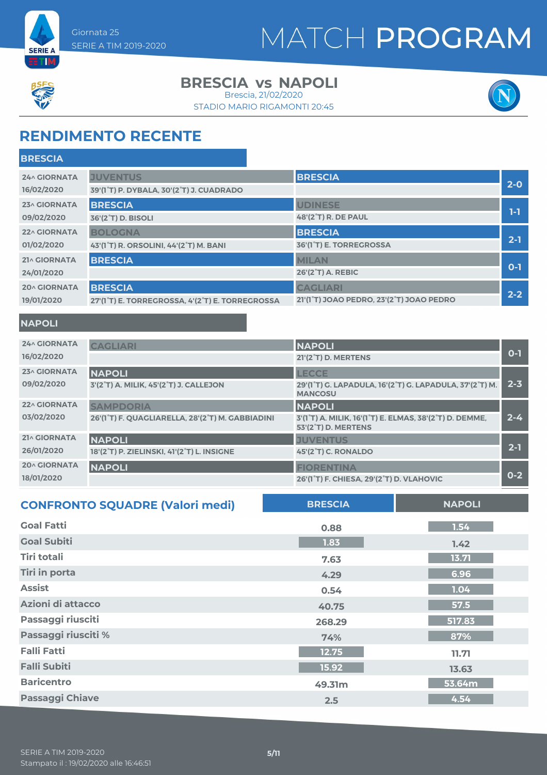



#### **BRESCIA vs NAPOLI**

Brescia, 21/02/2020





### **RENDIMENTO RECENTE**

| <b>BRESCIA</b><br><b>24^ GIORNATA</b><br><b>JUVENTUS</b><br>$2 - 0$<br>16/02/2020<br>39'(1°T) P. DYBALA, 30'(2°T) J. CUADRADO<br><b>BRESCIA</b><br><b>UDINESE</b><br>23^ GIORNATA |
|-----------------------------------------------------------------------------------------------------------------------------------------------------------------------------------|
|                                                                                                                                                                                   |
|                                                                                                                                                                                   |
|                                                                                                                                                                                   |
| 1-1<br><b>48'(2°T) R. DE PAUL</b><br>09/02/2020<br>36'(2°T) D. BISOLI                                                                                                             |
| <b>BRESCIA</b><br><b>BOLOGNA</b><br>22^ GIORNATA                                                                                                                                  |
| $2-1$<br>36'(1 <sup>°</sup> T) E. TORREGROSSA<br>01/02/2020<br>43'(1°T) R. ORSOLINI, 44'(2°T) M. BANI                                                                             |
| <b>BRESCIA</b><br><b>MILAN</b><br>21^ GIORNATA                                                                                                                                    |
| $O-1$<br>26'(2°T) A. REBIC<br>24/01/2020                                                                                                                                          |
| <b>BRESCIA</b><br><b>CAGLIARI</b><br><b>20^ GIORNATA</b>                                                                                                                          |
| $2 - 2$<br>21'(1°T) JOAO PEDRO, 23'(2°T) JOAO PEDRO<br>19/01/2020<br>27'(1°T) E. TORREGROSSA, 4'(2°T) E. TORREGROSSA                                                              |

#### **NAPOLI**

| <b>24^ GIORNATA</b> | <b>CAGLIARI</b>                                  | <b>NAPOLI</b>                                                                               | $0 - 1$ |
|---------------------|--------------------------------------------------|---------------------------------------------------------------------------------------------|---------|
| 16/02/2020          |                                                  | 21'(2°T) D. MERTENS                                                                         |         |
| 23^ GIORNATA        | <b>NAPOLI</b>                                    | <b>LECCE</b>                                                                                |         |
| 09/02/2020          | 3'(2°T) A. MILIK, 45'(2°T) J. CALLEJON           | 29'(1°T) G. LAPADULA, 16'(2°T) G. LAPADULA, 37'(2°T) M.<br><b>MANCOSU</b>                   | $2 - 3$ |
| <b>22^ GIORNATA</b> | <b>SAMPDORIA</b>                                 | <b>NAPOLI</b>                                                                               |         |
| 03/02/2020          | 26'(1°T) F. QUAGLIARELLA, 28'(2°T) M. GABBIADINI | 3'(1°T) A. MILIK, 16'(1°T) E. ELMAS, 38'(2°T) D. DEMME,<br>53'(2 <sup>°</sup> T) D. MERTENS | $2 - 4$ |
| 21^ GIORNATA        | <b>NAPOLI</b>                                    | <b>JUVENTUS</b>                                                                             |         |
| 26/01/2020          | 18'(2°T) P. ZIELINSKI, 41'(2°T) L. INSIGNE       | 45'(2°T) C. RONALDO                                                                         | $2 - 1$ |
| <b>20^ GIORNATA</b> | <b>NAPOLI</b>                                    | <b>FIORENTINA</b>                                                                           |         |
| 18/01/2020          |                                                  | 26'(1°T) F. CHIESA, 29'(2°T) D. VLAHOVIC                                                    | $0 - 2$ |

| <b>CONFRONTO SQUADRE (Valori medi)</b> | <b>BRESCIA</b> | <b>NAPOLI</b> |
|----------------------------------------|----------------|---------------|
| <b>Goal Fatti</b>                      | 0.88           | 1.54          |
| <b>Goal Subiti</b>                     | 1.83           | 1.42          |
| Tiri totali                            | 7.63           | 13.71         |
| <b>Tiri in porta</b>                   | 4.29           | 6.96          |
| <b>Assist</b>                          | 0.54           | 1.04          |
| Azioni di attacco                      | 40.75          | 57.5          |
| Passaggi riusciti                      | 268.29         | 517.83        |
| Passaggi riusciti %                    | 74%            | 87%           |
| <b>Falli Fatti</b>                     | 12.75          | 11.71         |
| <b>Falli Subiti</b>                    | 15.92          | 13.63         |
| <b>Baricentro</b>                      | 49.31m         | 53.64m        |
| <b>Passaggi Chiave</b>                 | 2.5            | 4.54          |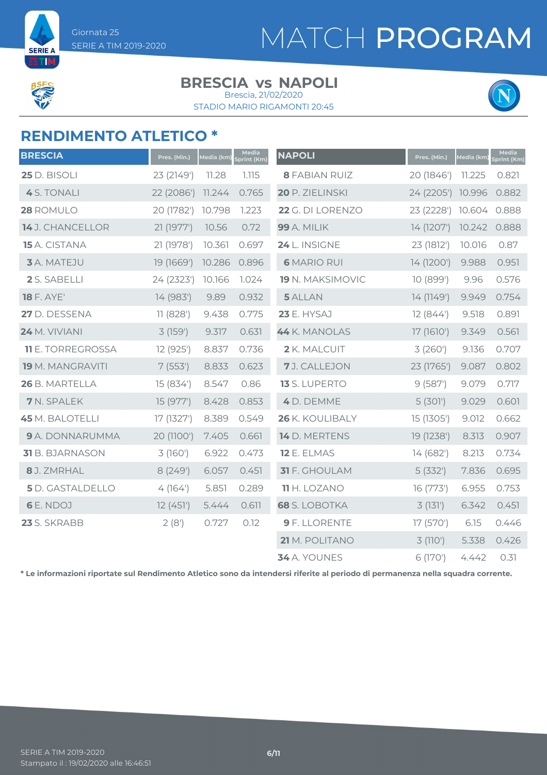

**SERIE A ETM** 

#### **BRESCIA vs NAPOLI**

STADIO MARIO RIGAMONTI 20:45 Brescia, 21/02/2020



### **RENDIMENTO ATLETICO \***

| <b>BRESCIA</b>           | Pres. (Min.) | <u>Media (km)</u> | Media<br>print (Km) | <b>NAPOLI</b>        | Pres. (Min.)      | Media (km) | Media<br>Sprint (Km) |
|--------------------------|--------------|-------------------|---------------------|----------------------|-------------------|------------|----------------------|
| 25 D. BISOLI             | 23 (2149')   | 11.28             | 1.115               | <b>8 FABIAN RUIZ</b> | 20 (1846')        | 11.225     | 0.821                |
| 4 S. TONALI              | 22 (2086')   | 11.244            | 0.765               | 20 P. ZIELINSKI      | 24 (2205') 10.996 |            | 0.882                |
| 28 ROMULO                | 20 (1782')   | 10.798            | 1.223               | 22 G. DI LORENZO     | 23 (2228')        | 10.604     | 0.888                |
| 14 J. CHANCELLOR         | 21 (1977')   | 10.56             | 0.72                | <b>99</b> A. MILIK   | 14 (1207')        | 10.242     | 0.888                |
| 15 A. CISTANA            | 21 (1978')   | 10.361            | 0.697               | 24 L. INSIGNE        | 23 (1812')        | 10.016     | 0.87                 |
| 3 A. MATEJU              | 19 (1669')   | 10.286            | 0.896               | <b>6 MARIO RUI</b>   | 14 (1200')        | 9.988      | 0.951                |
| 2 S. SABELLI             | 24 (2323')   | 10.166            | 1.024               | 19 N. MAKSIMOVIC     | 10(899')          | 9.96       | 0.576                |
| <b>18 F. AYE'</b>        | 14 (983')    | 9.89              | 0.932               | 5 ALLAN              | 14 (1149')        | 9.949      | 0.754                |
| 27 D. DESSENA            | 11 (828')    | 9.438             | 0.775               | <b>23 E. HYSAJ</b>   | 12(844)           | 9.518      | 0.891                |
| <b>24 M. VIVIANI</b>     | 3 (159')     | 9.317             | 0.631               | 44 K. MANOLAS        | 17 (1610')        | 9.349      | 0.561                |
| <b>11</b> E. TORREGROSSA | 12 (925')    | 8.837             | 0.736               | 2 K. MALCUIT         | 3(260)            | 9.136      | 0.707                |
| <b>19</b> M. MANGRAVITI  | 7(553)       | 8.833             | 0.623               | 7J. CALLEJON         | 23 (1765')        | 9.087      | 0.802                |
| 26 B. MARTELLA           | 15 (834')    | 8.547             | 0.86                | 13 S. LUPERTO        | 9(587)            | 9.079      | 0.717                |
| 7 N. SPALEK              | 15 (977')    | 8.428             | 0.853               | 4 D. DEMME           | 5(301)            | 9.029      | 0.601                |
| <b>45</b> M. BALOTELLI   | 17 (1327')   | 8.389             | 0.549               | 26 K. KOULIBALY      | 15 (1305')        | 9.012      | 0.662                |
| 9 A. DONNARUMMA          | 20 (1100')   | 7.405             | 0.661               | 14 D. MERTENS        | 19 (1238')        | 8.313      | 0.907                |
| 31 B. BJARNASON          | 3(160)       | 6.922             | 0.473               | 12 E. ELMAS          | 14 (682')         | 8.213      | 0.734                |
| 8 J. ZMRHAL              | 8 (249')     | 6.057             | 0.451               | 31 F. GHOULAM        | 5(332)            | 7.836      | 0.695                |
| <b>5</b> D. GASTALDELLO  | 4(164)       | 5.851             | 0.289               | <b>11</b> H. LOZANO  | 16(773)           | 6.955      | 0.753                |
| 6 E. NDOJ                | 12(451)      | 5.444             | 0.611               | <b>68</b> S. LOBOTKA | 3(131)            | 6.342      | 0.451                |
| 23 S. SKRABB             | 2(8')        | 0.727             | 0.12                | 9 F. LLORENTE        | 17 (570')         | 6.15       | 0.446                |
|                          |              |                   |                     | 21 M. POLITANO       | 3 (110')          | 5.338      | 0.426                |
|                          |              |                   |                     | 34 A. YOUNES         | 6 (170')          | 4.442      | 0.31                 |

**\* Le informazioni riportate sul Rendimento Atletico sono da intendersi riferite al periodo di permanenza nella squadra corrente.**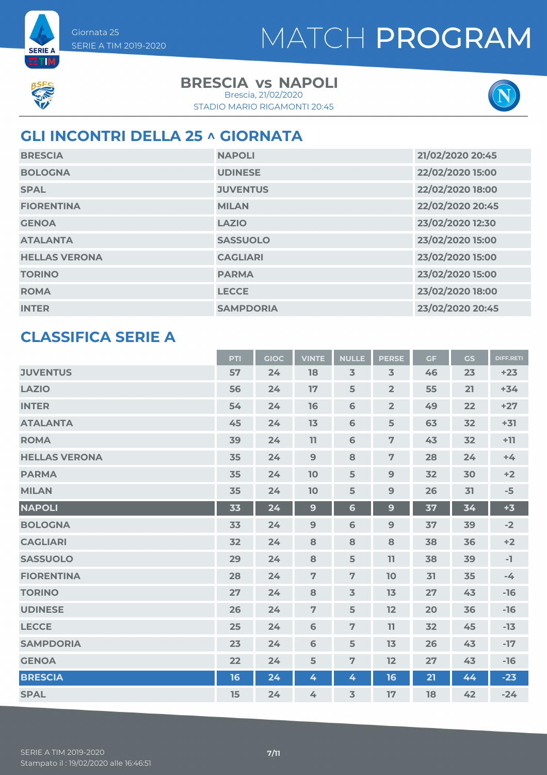



**BETTM** 

### **BRESCIA vs NAPOLI**

STADIO MARIO RIGAMONTI 20:45 Brescia, 21/02/2020



### **GLI INCONTRI DELLA 25 ^ GIORNATA**

| <b>BRESCIA</b>       | <b>NAPOLI</b>    | 21/02/2020 20:45 |
|----------------------|------------------|------------------|
| <b>BOLOGNA</b>       | <b>UDINESE</b>   | 22/02/2020 15:00 |
| <b>SPAL</b>          | <b>JUVENTUS</b>  | 22/02/2020 18:00 |
| <b>FIORENTINA</b>    | <b>MILAN</b>     | 22/02/2020 20:45 |
| <b>GENOA</b>         | <b>LAZIO</b>     | 23/02/2020 12:30 |
| <b>ATALANTA</b>      | <b>SASSUOLO</b>  | 23/02/2020 15:00 |
| <b>HELLAS VERONA</b> | <b>CAGLIARI</b>  | 23/02/2020 15:00 |
| <b>TORINO</b>        | <b>PARMA</b>     | 23/02/2020 15:00 |
| <b>ROMA</b>          | <b>LECCE</b>     | 23/02/2020 18:00 |
| <b>INTER</b>         | <b>SAMPDORIA</b> | 23/02/2020 20:45 |

### **CLASSIFICA SERIE A**

|                      | <b>PTI</b> | <b>GIOC</b> | <b>VINTE</b>   | <b>NULLE</b>   | <b>PERSE</b>   | <b>GF</b> | GS | <b>DIFF.RETI</b> |
|----------------------|------------|-------------|----------------|----------------|----------------|-----------|----|------------------|
| <b>JUVENTUS</b>      | 57         | 24          | 18             | $\overline{3}$ | $\overline{3}$ | 46        | 23 | $+23$            |
| <b>LAZIO</b>         | 56         | 24          | 17             | 5              | $\overline{2}$ | 55        | 21 | $+34$            |
| <b>INTER</b>         | 54         | 24          | 16             | 6              | $\overline{2}$ | 49        | 22 | $+27$            |
| <b>ATALANTA</b>      | 45         | 24          | 13             | 6              | 5              | 63        | 32 | $+31$            |
| <b>ROMA</b>          | 39         | 24          | 11             | 6              | $\overline{7}$ | 43        | 32 | $+11$            |
| <b>HELLAS VERONA</b> | 35         | 24          | $\overline{9}$ | 8              | $\overline{7}$ | 28        | 24 | $+4$             |
| <b>PARMA</b>         | 35         | 24          | 10             | 5              | 9              | 32        | 30 | $+2$             |
| <b>MILAN</b>         | 35         | 24          | 10             | 5              | 9              | 26        | 31 | $-5$             |
| <b>NAPOLI</b>        | 33         | 24          | $\mathbf{9}$   | $6\phantom{1}$ | 9              | 37        | 34 | $+3$             |
| <b>BOLOGNA</b>       | 33         | 24          | $\overline{9}$ | 6              | $9$            | 37        | 39 | $-2$             |
| <b>CAGLIARI</b>      | 32         | 24          | 8              | 8              | 8              | 38        | 36 | $+2$             |
| <b>SASSUOLO</b>      | 29         | 24          | 8              | 5              | 11             | 38        | 39 | $-1$             |
| <b>FIORENTINA</b>    | 28         | 24          | $\overline{7}$ | $\overline{7}$ | 10             | 31        | 35 | $-4$             |
| <b>TORINO</b>        | 27         | 24          | 8              | $\overline{3}$ | 13             | 27        | 43 | $-16$            |
| <b>UDINESE</b>       | 26         | 24          | $\overline{7}$ | 5              | 12             | 20        | 36 | $-16$            |
| <b>LECCE</b>         | 25         | 24          | 6              | $\overline{7}$ | 11             | 32        | 45 | $-13$            |
| <b>SAMPDORIA</b>     | 23         | 24          | 6              | 5              | 13             | 26        | 43 | $-17$            |
| <b>GENOA</b>         | 22         | 24          | 5              | $\overline{7}$ | 12             | 27        | 43 | $-16$            |
| <b>BRESCIA</b>       | 16         | 24          | 4              | 4              | 16             | 21        | 44 | $-23$            |
| <b>SPAL</b>          | 15         | 24          | 4              | $\overline{3}$ | 17             | 18        | 42 | $-24$            |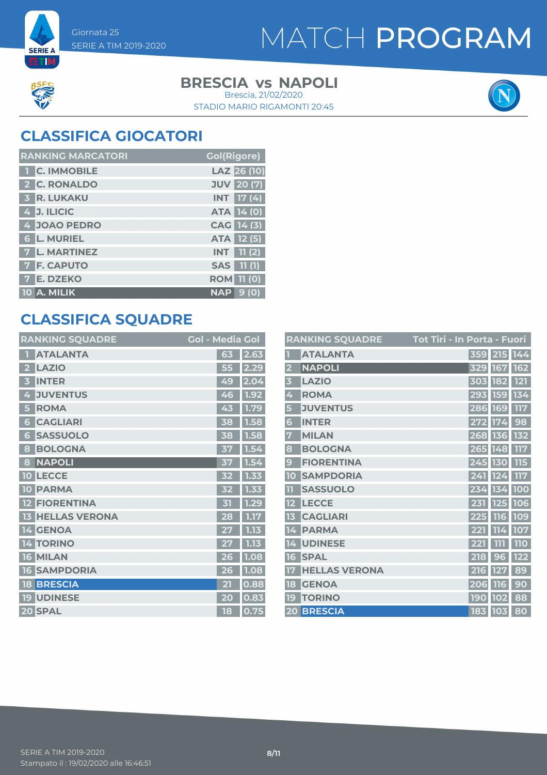



**SERIE A ETIM** 

### **BRESCIA vs NAPOLI**

STADIO MARIO RIGAMONTI 20:45 Brescia, 21/02/2020



### **CLASSIFICA GIOCATORI**

| <b>RANKING MARCATORI</b> | <b>Gol(Rigore)</b>   |
|--------------------------|----------------------|
| <b>T</b> C. IMMOBILE     | LAZ 26 (10)          |
| 2 C. RONALDO             | <b>JUV</b> 20 (7)    |
| <b>3 R. LUKAKU</b>       | <b>INT</b> 17 (4)    |
| $4$ J. ILICIC            | <b>ATA 14 (0)</b>    |
| 4 JOAO PEDRO             | CAG 14 (3)           |
| <b>6 L. MURIEL</b>       | <b>ATA 12 (5)</b>    |
| 7 L. MARTINEZ            | 11 (2)<br><b>INT</b> |
| <b>7 F. CAPUTO</b>       | <b>SAS</b> 11 (1)    |
| <b>E. DZEKO</b>          | <b>ROM 11 (0)</b>    |
| $10$ A. MILIK            | <b>NAP</b><br>9(0)   |

### **CLASSIFICA SQUADRE**

| <b>RANKING SQUADRE</b>          | <b>Gol - Media Gol</b> |      |
|---------------------------------|------------------------|------|
| <b>ATALANTA</b>                 | 63                     | 2.63 |
| <b>LAZIO</b><br>2               | 55                     | 2.29 |
| <b>INTER</b>                    | 49                     | 2.04 |
| <b>JUVENTUS</b><br>4            | 46                     | 1.92 |
| <b>ROMA</b><br>5                | 43                     | 1.79 |
| <b>CAGLIARI</b><br>6            | 38                     | 1.58 |
| <b>SASSUOLO</b><br>6            | 38                     | 1.58 |
| <b>BOLOGNA</b><br>8             | 37                     | 1.54 |
| <b>NAPOLI</b><br>8              | 37                     | 1.54 |
| <b>LECCE</b><br>10              | 32                     | 1.33 |
| <b>PARMA</b><br>10              | 32                     | 1.33 |
| <b>FIORENTINA</b>               | $\mathbf{K}$           | 1.29 |
| <b>HELLAS VERONA</b><br>13      | 28                     | 1.17 |
| 14 GENOA                        | 27                     | 1.13 |
| <b>TORINO</b><br>4              |                        | 1.13 |
| <b>MILAN</b><br>16 <sup>1</sup> | 26                     | 1.08 |
| <b>SAMPDORIA</b><br>16          | 26                     | 1.08 |
| <b>BRESCIA</b><br>18            | 21                     | 0.88 |
| <b>19 UDINESE</b>               | 20                     | 0.83 |
| 20 SPAL                         | 18                     | 0.75 |

|                         | <b>RANKING SQUADRE</b> | <b>Tot Tiri - In Porta - Fuori</b> |             |            |
|-------------------------|------------------------|------------------------------------|-------------|------------|
|                         | <b>ATALANTA</b>        |                                    | 359 215 144 |            |
| $\overline{\mathbf{2}}$ | <b>NAPOLI</b>          | 329                                | 167         | 162        |
| 3                       | <b>LAZIO</b>           | 303                                | 182         | <b>121</b> |
| 4                       | <b>ROMA</b>            | 293                                | 159 134     |            |
| 5                       | <b>JUVENTUS</b>        | 286                                | 169         | <b>117</b> |
| 6                       | <b>INTER</b>           |                                    | 272 174     | 98         |
| 7                       | <b>MILAN</b>           |                                    | 268 136     | 132        |
| 8                       | <b>BOLOGNA</b>         |                                    | 265 148     | <b>117</b> |
| 9                       | <b>FIORENTINA</b>      |                                    | 245 130     | <b>115</b> |
| 10                      | <b>SAMPDORIA</b>       | 241                                | 124         | 117        |
| Œ                       | <b>SASSUOLO</b>        | 234                                | 134         | <b>100</b> |
|                         | <b>LECCE</b>           | 231                                | 125         | 106        |
| 13                      | <b>CAGLIARI</b>        | 225                                | <b>116</b>  | 109        |
| 14                      | <b>PARMA</b>           | 221                                | 114         | 107        |
| 14                      | <b>UDINESE</b>         | 221                                | ווו         | <b>110</b> |
| 16                      | <b>SPAL</b>            | 218                                | 96          | <b>122</b> |
| 17                      | <b>HELLAS VERONA</b>   | 216                                | 127         | 89         |
| 18                      | <b>GENOA</b>           | 206                                | <b>116</b>  | 90         |
| 19                      | <b>TORINO</b>          | <b>190</b>                         | <b>102</b>  | 88         |
|                         | 20 BRESCIA             |                                    | 183 103     | 80         |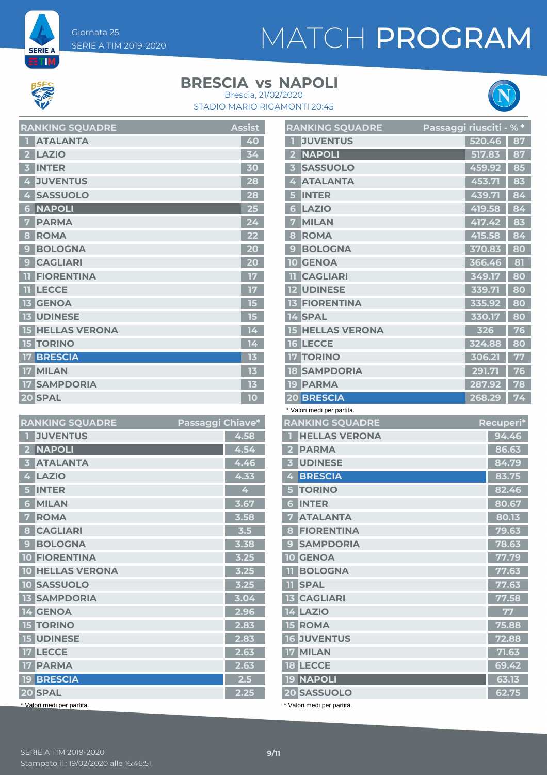Giornata 25 SERIE A TIM 2019-2020

## MATCH PROGRAM



**SERIE A ETM** 

#### **BRESCIA vs NAPOLI**

STADIO MARIO RIGAMONTI 20:45 Brescia, 21/02/2020



| <b>RANKING SQUADRE</b>              | <b>Assist</b> |
|-------------------------------------|---------------|
| <b>ATALANTA</b>                     | 40            |
| <b>LAZIO</b>                        | 34            |
| <b>INTER</b><br>3                   | 30            |
| <b>JUVENTUS</b><br>4                | 28            |
| <b>SASSUOLO</b><br>4                | 28            |
| <b>NAPOLI</b><br>6                  | 25            |
| <b>PARMA</b><br>7                   | 24            |
| <b>ROMA</b><br>8                    |               |
| <b>BOLOGNA</b><br>9                 | 20            |
| <b>CAGLIARI</b><br>9                | 20            |
| <b>FIORENTINA</b><br>m              | 17            |
| <b>LECCE</b><br>m                   | 17            |
| <b>13 GENOA</b>                     | 15            |
| <b>13 UDINESE</b>                   | 15            |
| <b>HELLAS VERONA</b><br>15          | 14            |
| <b>15 TORINO</b>                    | 14            |
| <b>BRESCIA</b><br>17                | 13            |
| <b>MILAN</b><br>17 <sup>1</sup>     | 13            |
| <b>SAMPDORIA</b><br>17 <sup>1</sup> | 13            |
| 20 SPAL                             | 10            |

| <b>RANKING SQUADRE</b>       | Passaggi Chiave* |        |
|------------------------------|------------------|--------|
| <b>JUVENTUS</b>              |                  | 4.58   |
| <b>NAPOLI</b>                |                  | 4.54   |
| <b>ATALANTA</b><br>В         |                  | 4.46   |
| <b>LAZIO</b><br>4            |                  | 4.33   |
| <b>INTER</b>                 |                  | 4      |
| <b>MILAN</b><br>6            |                  | 3.67   |
| <b>ROMA</b><br>7             |                  | 3.58   |
| <b>CAGLIARI</b><br>8         |                  | 3.5    |
| <b>BOLOGNA</b><br>$\epsilon$ |                  | 3.38   |
| <b>10 FIORENTINA</b>         |                  | $3.25$ |
| <b>10 HELLAS VERONA</b>      |                  | 3.25   |
| <b>10 SASSUOLO</b>           |                  | 3.25   |
| <b>13 SAMPDORIA</b>          |                  | 3.04   |
| <b>14 GENOA</b>              |                  | 2.96   |
| <b>15 TORINO</b>             |                  | 2.83   |
| <b>15 UDINESE</b>            |                  | 2.83   |
| 17 LECCE                     |                  | 2.63   |
| <b>17 PARMA</b>              |                  | 2.63   |
| <b>19 BRESCIA</b>            |                  | 2.5    |
| 20 SPAL                      |                  | 2.25   |
| * Valori medi per partita.   |                  |        |

| <b>RANKING SQUADRE</b>                     | Passaggi riusciti - % * |    |
|--------------------------------------------|-------------------------|----|
| <b>JUVENTUS</b>                            | 520.46                  | 87 |
| <b>NAPOLI</b><br>$\overline{\mathbf{2}}$   | 517.83                  | 87 |
| <b>SASSUOLO</b><br>$\overline{\mathbf{3}}$ | 459.92                  | 85 |
| <b>ATALANTA</b><br>4                       | 453.71                  | 83 |
| <b>INTER</b><br>5                          | 439.71                  | 84 |
| <b>LAZIO</b><br>6                          | 419.58                  | 84 |
| <b>MILAN</b><br>$\overline{7}$             | 417.42                  | 83 |
| <b>ROMA</b><br>8                           | 415.58                  | 84 |
| <b>BOLOGNA</b><br>9                        | 370.83                  | 80 |
| <b>GENOA</b><br>10                         | 366.46                  | 81 |
| <b>CAGLIARI</b>                            | 349.17                  | 80 |
| <b>UDINESE</b>                             | 339.71                  | 80 |
| <b>13 FIORENTINA</b>                       | 335.92                  | 80 |
| 14 SPAL                                    | 330.17                  | 80 |
| <b>HELLAS VERONA</b><br>15                 | 326                     | 76 |
| <b>LECCE</b><br><b>16</b>                  | 324.88                  | 80 |
| <b>TORINO</b><br>17 <sup>7</sup>           | 306.21                  | 77 |
| <b>SAMPDORIA</b><br><b>18</b>              | 291.71                  | 76 |
| <b>19 PARMA</b>                            | 287.92                  | 78 |
| 20 BRESCIA                                 | 268.29                  | 74 |

\* Valori medi per partita.

| <b>RANKING SQUADRE</b>                  | Recuperi* |
|-----------------------------------------|-----------|
| <b>HELLAS VERONA</b>                    | 94.46     |
| <b>PARMA</b><br>$\overline{\mathbf{2}}$ | 86.63     |
| <b>UDINESE</b><br>3                     | 84.79     |
| <b>BRESCIA</b><br>4                     | 83.75     |
| <b>TORINO</b>                           | 82.46     |
| <b>INTER</b><br>6                       | 80.67     |
| <b>ATALANTA</b><br>7                    | 80.13     |
| <b>FIORENTINA</b><br>8                  | 79.63     |
| <b>SAMPDORIA</b><br>9                   | 78.63     |
| <b>10 GENOA</b>                         | 77.79     |
| <b>BOLOGNA</b><br>m                     | 77.63     |
| <b>TI SPAL</b>                          | 77.63     |
| <b>13 CAGLIARI</b>                      | 77.58     |
| <b>14 LAZIO</b>                         | 77        |
| <b>15 ROMA</b>                          | 75.88     |
| <b>16 JUVENTUS</b>                      | 72.88     |
| 17 MILAN                                | 71.63     |
| <b>18 LECCE</b>                         | 69.42     |
| <b>19 NAPOLI</b>                        | 63.13     |
| 20 SASSUOLO                             | 62.75     |
|                                         |           |

\* Valori medi per partita.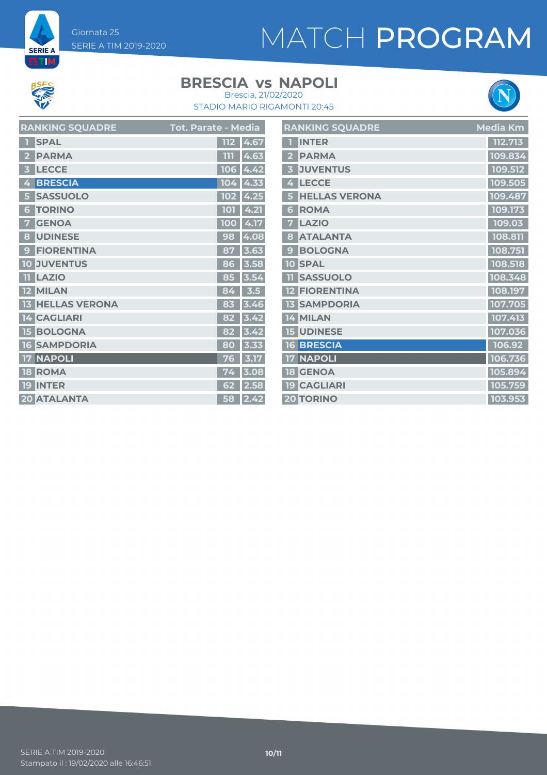Giornata 25 SERIE A TIM 2019-2020

### MATCH PROGRAM



**SERIE A ETIM** 

#### **BRESCIA vs NAPOLI**



STADIO MARIO RIGAMONTI 20:45 Brescia, 21/02/2020

| <b>RANKING SQUADRE</b>             | Tot. Parate - M <u>edia</u> | RAI                     |
|------------------------------------|-----------------------------|-------------------------|
| <b>SPAL</b>                        | 4.67<br><b>112</b>          | 1.                      |
| <b>PARMA</b><br>2                  | 4.63<br>ווו                 | 2 <sup>1</sup>          |
| <b>LECCE</b><br>3                  | 106<br>4.42                 | $\overline{\mathbf{3}}$ |
| <b>BRESCIA</b><br>4                | 104<br> 4.33                | 4                       |
| <b>SASSUOLO</b><br>5               | $102$ 4.25                  | 5 <sup>1</sup>          |
| <b>TORINO</b><br>6                 | 4.21<br><b>101</b>          | $\mathbf{6}$            |
| <b>GENOA</b><br>7                  | 4.17<br><b>100</b>          | $\overline{7}$          |
| <b>UDINESE</b><br>8                | 4.08<br>98                  | $\overline{\mathbf{8}}$ |
| <b>FIORENTINA</b><br>$\mathbf{Q}$  | 3.63<br>87                  | 9 <sup>°</sup>          |
| <b>JUVENTUS</b><br>10 <sub>1</sub> | 3.58<br>86                  | 10                      |
| <b>LAZIO</b><br>m                  | 3.54<br>85                  | $\mathbf{11}$           |
| <b>MILAN</b><br>$12-$              | 3.5<br>84                   | 12                      |
| <b>13 HELLAS VERONA</b>            | 3.46<br>83                  | 13                      |
| <b>14 CAGLIARI</b>                 | 82<br>3.42                  | 14                      |
| <b>15 BOLOGNA</b>                  | 82<br>3.42                  | 15                      |
| <b>16 SAMPDORIA</b>                | 3.33<br>80                  | 16                      |
| <b>NAPOLI</b><br>17                | 3.17<br>76                  | 17                      |
| <b>18 ROMA</b>                     | 3.08<br>74                  | 18                      |
| <b>19 INTER</b>                    | 2.58<br>62                  | 19                      |
| <b>20 ATALANTA</b>                 | 2.42<br>58                  | 20                      |

|                         | <b>RANKING SQUADRE</b> | Media Km |
|-------------------------|------------------------|----------|
| п                       | <b>INTER</b>           | 112.713  |
| $\overline{\mathbf{2}}$ | <b>PARMA</b>           | 109.834  |
| $\overline{\mathbf{3}}$ | <b>JUVENTUS</b>        | 109.512  |
| 4                       | <b>LECCE</b>           | 109.505  |
| 5                       | <b>HELLAS VERONA</b>   | 109.487  |
| 6                       | <b>ROMA</b>            | 109.173  |
| 7                       | <b>LAZIO</b>           | 109.03   |
| 8                       | <b>ATALANTA</b>        | 108.811  |
| 9                       | <b>BOLOGNA</b>         | 108.751  |
|                         | <b>10 SPAL</b>         | 108.518  |
| 11                      | <b>SASSUOLO</b>        | 108.348  |
|                         | <b>12 FIORENTINA</b>   | 108.197  |
|                         | <b>13 SAMPDORIA</b>    | 107.705  |
|                         | 14 MILAN               | 107.413  |
|                         | <b>15 UDINESE</b>      | 107.036  |
|                         | <b>16 BRESCIA</b>      | 106.92   |
|                         | <b>17 NAPOLI</b>       | 106.736  |
|                         | <b>18 GENOA</b>        | 105.894  |
|                         | <b>19 CAGLIARI</b>     | 105.759  |
|                         | <b>20 TORINO</b>       | 103.953  |